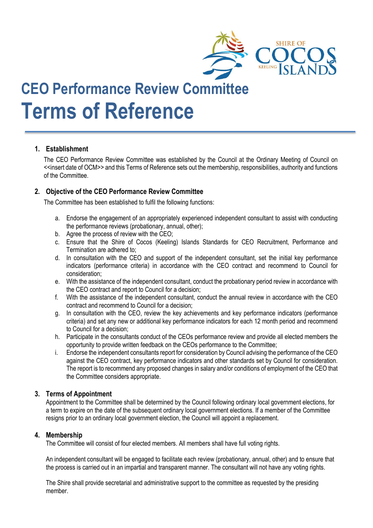

# **CEO Performance Review Committee Terms of Reference**

## **1. Establishment**

The CEO Performance Review Committee was established by the Council at the Ordinary Meeting of Council on <<insert date of OCM>> and this Terms of Reference sets out the membership, responsibilities, authority and functions of the Committee.

# **2. Objective of the CEO Performance Review Committee**

The Committee has been established to fulfil the following functions:

- a. Endorse the engagement of an appropriately experienced independent consultant to assist with conducting the performance reviews (probationary, annual, other);
- b. Agree the process of review with the CEO;
- c. Ensure that the Shire of Cocos (Keeling) Islands Standards for CEO Recruitment, Performance and Termination are adhered to;
- d. In consultation with the CEO and support of the independent consultant, set the initial key performance indicators (performance criteria) in accordance with the CEO contract and recommend to Council for consideration;
- e. With the assistance of the independent consultant, conduct the probationary period review in accordance with the CEO contract and report to Council for a decision;
- f. With the assistance of the independent consultant, conduct the annual review in accordance with the CEO contract and recommend to Council for a decision;
- g. In consultation with the CEO, review the key achievements and key performance indicators (performance criteria) and set any new or additional key performance indicators for each 12 month period and recommend to Council for a decision;
- h. Participate in the consultants conduct of the CEOs performance review and provide all elected members the opportunity to provide written feedback on the CEOs performance to the Committee;
- i. Endorse the independent consultants report for consideration by Council advising the performance of the CEO against the CEO contract, key performance indicators and other standards set by Council for consideration. The report is to recommend any proposed changes in salary and/or conditions of employment of the CEO that the Committee considers appropriate.

# **3. Terms of Appointment**

Appointment to the Committee shall be determined by the Council following ordinary local government elections, for a term to expire on the date of the subsequent ordinary local government elections. If a member of the Committee resigns prior to an ordinary local government election, the Council will appoint a replacement.

# **4. Membership**

The Committee will consist of four elected members. All members shall have full voting rights.

An independent consultant will be engaged to facilitate each review (probationary, annual, other) and to ensure that the process is carried out in an impartial and transparent manner. The consultant will not have any voting rights.

The Shire shall provide secretarial and administrative support to the committee as requested by the presiding member.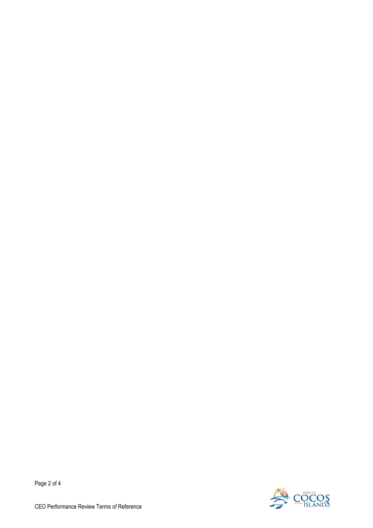

Page 2 of 4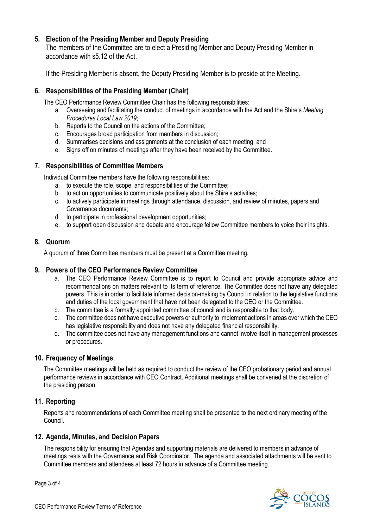## **5. Election of the Presiding Member and Deputy Presiding**

The members of the Committee are to elect a Presiding Member and Deputy Presiding Member in accordance with s5.12 of the Act.

If the Presiding Member is absent, the Deputy Presiding Member is to preside at the Meeting.

# **6. Responsibilities of the Presiding Member (Chair)**

The CEO Performance Review Committee Chair has the following responsibilities:

- a. Overseeing and facilitating the conduct of meetings in accordance with the Act and the Shire's *Meeting Procedures Local Law 2019*;
- b. Reports to the Council on the actions of the Committee;
- c. Encourages broad participation from members in discussion;
- d. Summarises decisions and assignments at the conclusion of each meeting; and
- e. Signs off on minutes of meetings after they have been received by the Committee.

## **7. Responsibilities of Committee Members**

Individual Committee members have the following responsibilities:

- a. to execute the role, scope, and responsibilities of the Committee;
- b. to act on opportunities to communicate positively about the Shire's activities;
- c. to actively participate in meetings through attendance, discussion, and review of minutes, papers and Governance documents;
- d. to participate in professional development opportunities;
- e. to support open discussion and debate and encourage fellow Committee members to voice their insights.

## **8. Quorum**

A quorum of three Committee members must be present at a Committee meeting.

## **9. Powers of the CEO Performance Review Committee**

- a. The CEO Performance Review Committee is to report to Council and provide appropriate advice and recommendations on matters relevant to its term of reference. The Committee does not have any delegated powers. This is in order to facilitate informed decision-making by Council in relation to the legislative functions and duties of the local government that have not been delegated to the CEO or the Committee.
- b. The committee is a formally appointed committee of council and is responsible to that body.
- c. The committee does not have executive powers or authority to implement actions in areas over which the CEO has legislative responsibility and does not have any delegated financial responsibility.
- d. The committee does not have any management functions and cannot involve itself in management processes or procedures.

## **10. Frequency of Meetings**

The Committee meetings will be held as required to conduct the review of the CEO probationary period and annual performance reviews in accordance with CEO Contract. Additional meetings shall be convened at the discretion of the presiding person.

# **11. Reporting**

Reports and recommendations of each Committee meeting shall be presented to the next ordinary meeting of the Council.

## **12. Agenda, Minutes, and Decision Papers**

The responsibility for ensuring that Agendas and supporting materials are delivered to members in advance of meetings rests with the Governance and Risk Coordinator. The agenda and associated attachments will be sent to Committee members and attendees at least 72 hours in advance of a Committee meeting.

Page 3 of 4